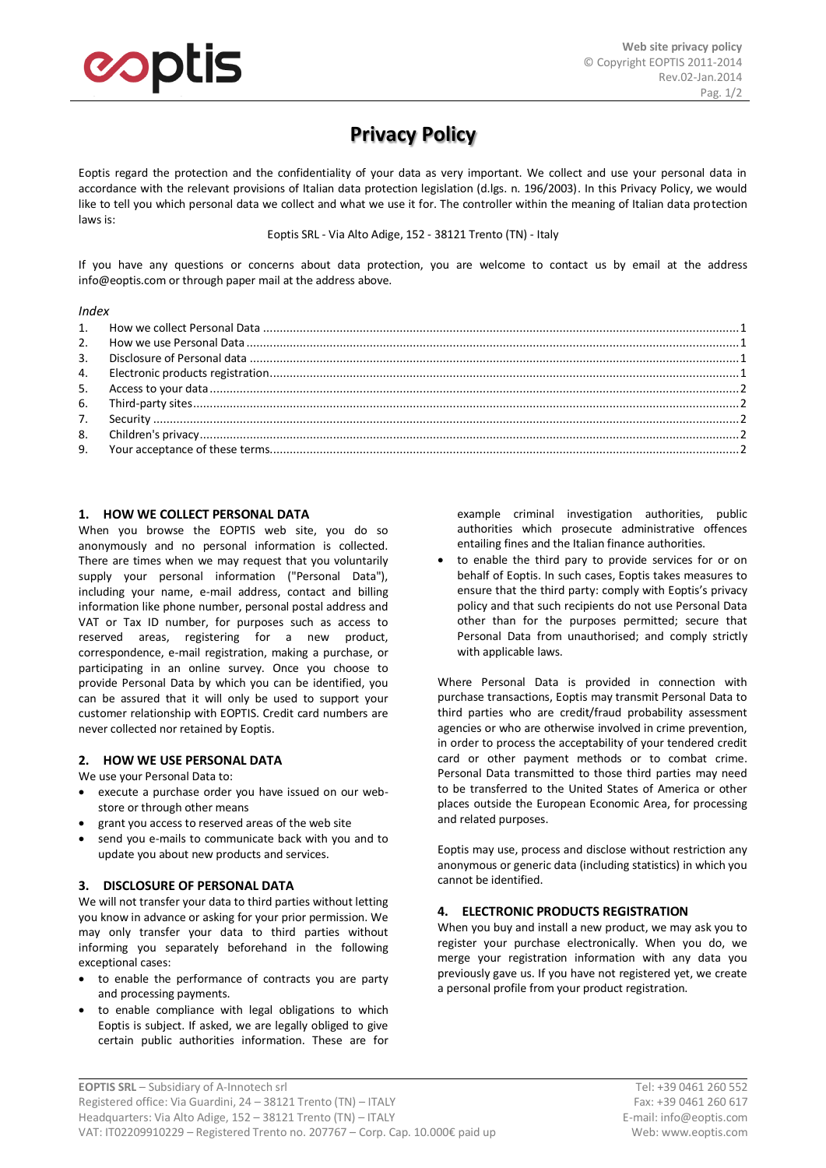

# **Privacy Policy**

Eoptis regard the protection and the confidentiality of your data as very important. We collect and use your personal data in accordance with the relevant provisions of Italian data protection legislation (d.lgs. n. 196/2003). In this Privacy Policy, we would like to tell you which personal data we collect and what we use it for. The controller within the meaning of Italian data protection laws is:

Eoptis SRL - Via Alto Adige, 152 - 38121 Trento (TN) - Italy

If you have any questions or concerns about data protection, you are welcome to contact us by email at the address info@eoptis.com or through paper mail at the address above.

#### *Index*

| 9 <sub>1</sub> |  |
|----------------|--|
|                |  |

## <span id="page-0-0"></span>**1. HOW WE COLLECT PERSONAL DATA**

When you browse the EOPTIS web site, you do so anonymously and no personal information is collected. There are times when we may request that you voluntarily supply your personal information ("Personal Data"), including your name, e-mail address, contact and billing information like phone number, personal postal address and VAT or Tax ID number, for purposes such as access to reserved areas, registering for a new product, correspondence, e-mail registration, making a purchase, or participating in an online survey. Once you choose to provide Personal Data by which you can be identified, you can be assured that it will only be used to support your customer relationship with EOPTIS. Credit card numbers are never collected nor retained by Eoptis.

## <span id="page-0-1"></span>**2. HOW WE USE PERSONAL DATA**

#### We use your Personal Data to:

- execute a purchase order you have issued on our webstore or through other means
- grant you access to reserved areas of the web site
- send you e-mails to communicate back with you and to update you about new products and services.

## <span id="page-0-2"></span>**3. DISCLOSURE OF PERSONAL DATA**

We will not transfer your data to third parties without letting you know in advance or asking for your prior permission. We may only transfer your data to third parties without informing you separately beforehand in the following exceptional cases:

- to enable the performance of contracts you are party and processing payments.
- to enable compliance with legal obligations to which Eoptis is subject. If asked, we are legally obliged to give certain public authorities information. These are for

example criminal investigation authorities, public authorities which prosecute administrative offences entailing fines and the Italian finance authorities.

 to enable the third pary to provide services for or on behalf of Eoptis. In such cases, Eoptis takes measures to ensure that the third party: comply with Eoptis's privacy policy and that such recipients do not use Personal Data other than for the purposes permitted; secure that Personal Data from unauthorised; and comply strictly with applicable laws.

Where Personal Data is provided in connection with purchase transactions, Eoptis may transmit Personal Data to third parties who are credit/fraud probability assessment agencies or who are otherwise involved in crime prevention, in order to process the acceptability of your tendered credit card or other payment methods or to combat crime. Personal Data transmitted to those third parties may need to be transferred to the United States of America or other places outside the European Economic Area, for processing and related purposes.

Eoptis may use, process and disclose without restriction any anonymous or generic data (including statistics) in which you cannot be identified.

## <span id="page-0-3"></span>**4. ELECTRONIC PRODUCTS REGISTRATION**

When you buy and install a new product, we may ask you to register your purchase electronically. When you do, we merge your registration information with any data you previously gave us. If you have not registered yet, we create a personal profile from your product registration.